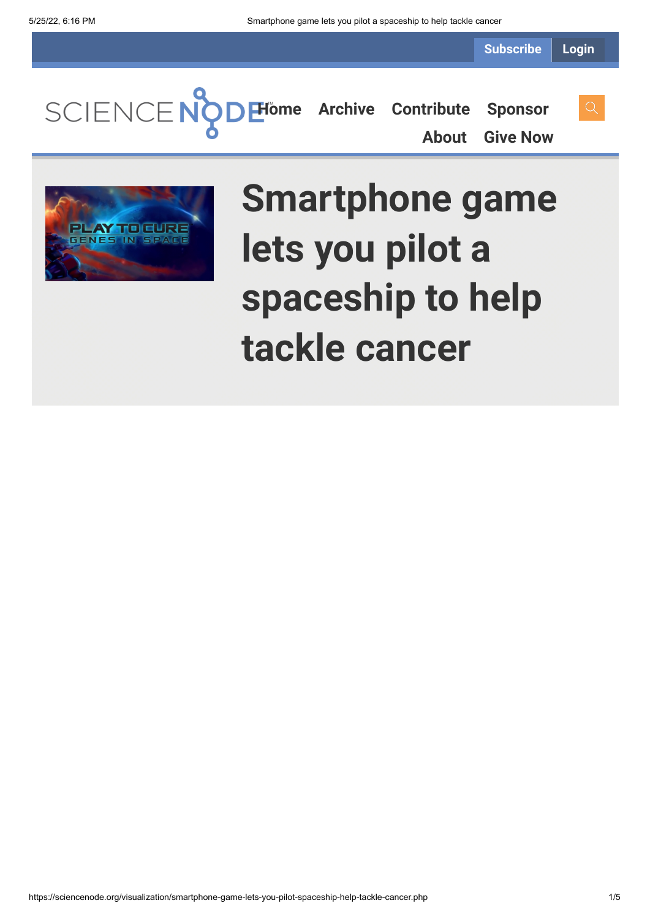**Subscribe Login**

**[Home](https://sciencenode.org/) [Archive](https://sciencenode.org/archive/index.php) [Contribute](https://sciencenode.org/contribute/index.php) [Sponsor](https://sciencenode.org/sponsor/index.php)**

**[About](https://sciencenode.org/about/index.php) [Give Now](https://sciencenode.org/donate/index.php)**



# **Smartphone game lets you pilot a spaceship to help tackle cancer**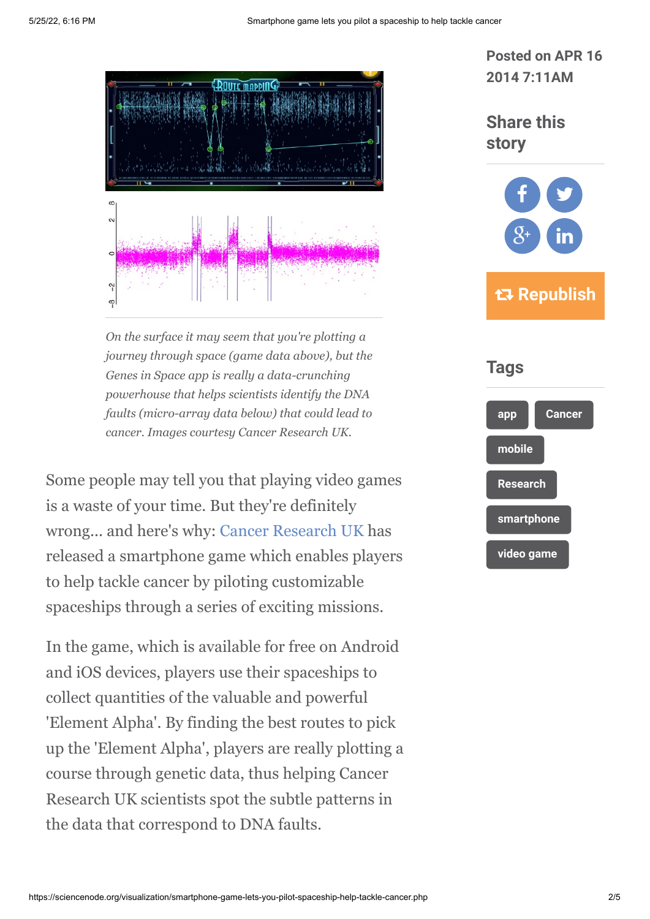

*On the surface it may seem that you're plotting a journey through space (game data above), but the Genes in Space app is really a data-crunching powerhouse that helps scientists identify the DNA faults (micro-array data below) that could lead to cancer. Images courtesy Cancer Research UK.*

Some people may tell you that playing video games is a waste of your time. But they're definitely wrong... and here's why: [Cancer Research UK](http://www.cancerresearchuk.org/) has released a smartphone game which enables players to help tackle cancer by piloting customizable spaceships through a series of exciting missions.

In the game, which is available for free on Android and iOS devices, players use their spaceships to collect quantities of the valuable and powerful 'Element Alpha'. By finding the best routes to pick up the 'Element Alpha', players are really plotting a course through genetic data, thus helping Cancer Research UK scientists spot the subtle patterns in the data that correspond to DNA faults.

**Posted on APR 16 2014 7:11AM**

**Share this story**



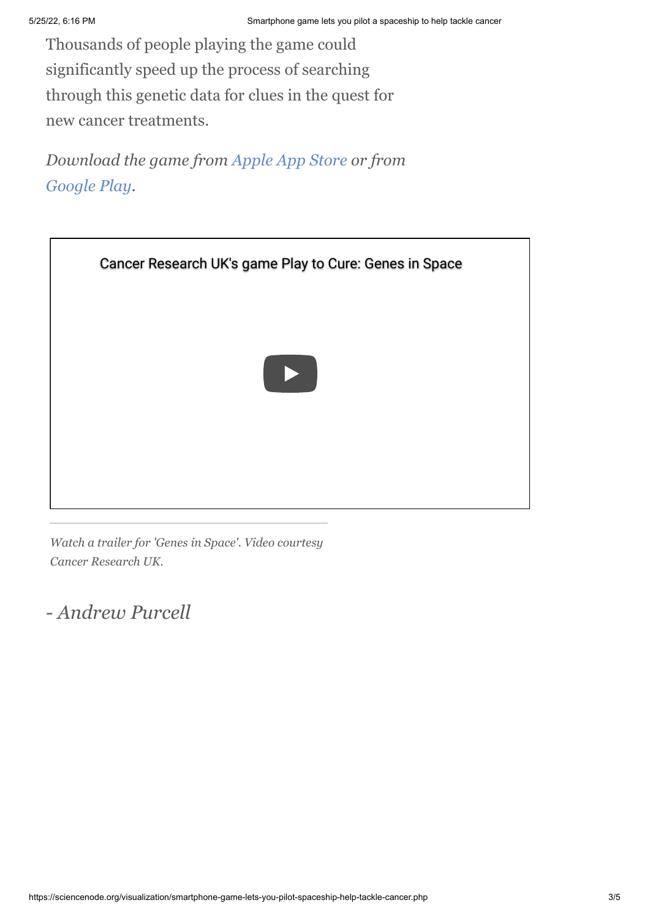Thousands of people playing the game could significantly speed up the process of searching through this genetic data for clues in the quest for new cancer treatments.

*Download the game from [Apple App Store](https://itunes.apple.com/us/app/play-to-cure-genes-in-space/id784643890?ls=1&mt=8) or from [Google Play.](https://play.google.com/store/apps/details?id=com.guerillatea.elementalpha)*



*Watch a trailer for 'Genes in Space'. Video courtesy Cancer Research UK.*

*- Andrew Purcell*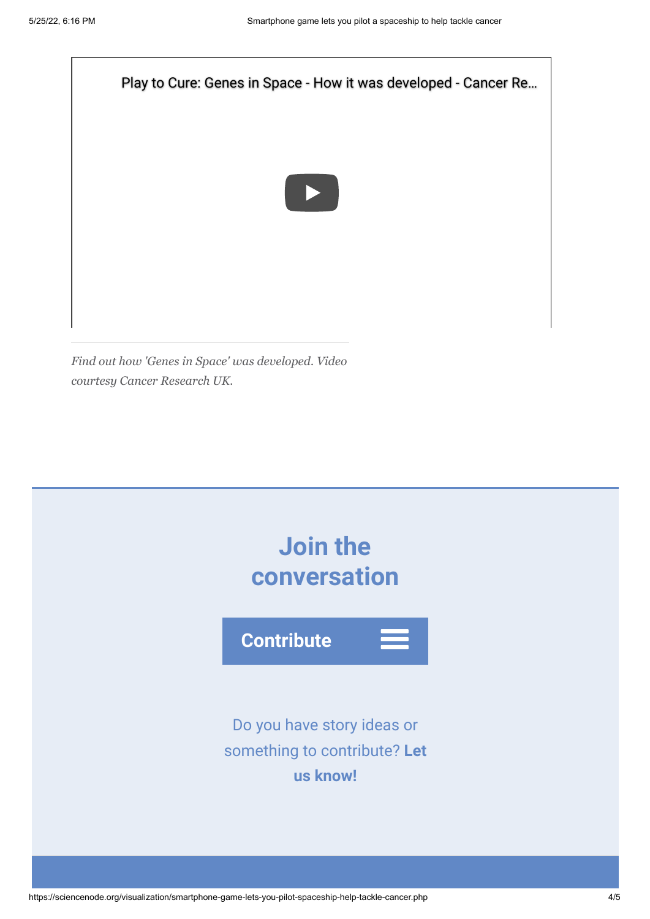

*Find out how 'Genes in Space' was developed. Video courtesy Cancer Research UK.*